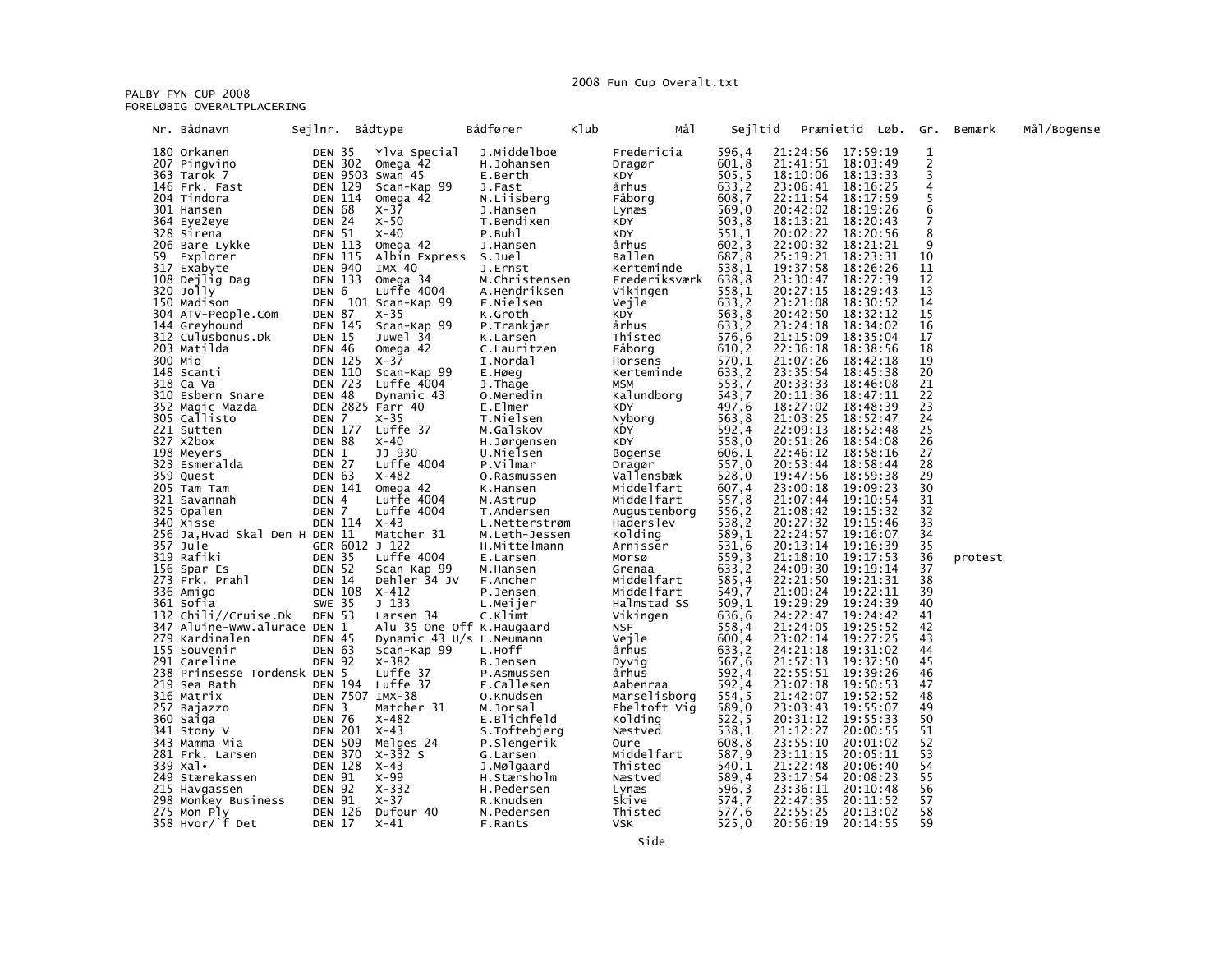## 2008 Fun Cup Overalt.txt

PALBY FYN CUP 2008<br>FORELØBIG OVERALTPLACERING

|    | Nr. Bådnavn                                 | Sejlnr.                 |                                  | Bådtype                         | Bådfører                       | Klub | Må1                       | Sejltid          |                               | Præmietid Løb. Gr.   |                       | Bemærk  | Mål/Bogense |
|----|---------------------------------------------|-------------------------|----------------------------------|---------------------------------|--------------------------------|------|---------------------------|------------------|-------------------------------|----------------------|-----------------------|---------|-------------|
|    | 180 Orkanen                                 |                         | DEN 35                           | Ylva Special                    | J.Middelboe                    |      | Fredericia                | 596,4            | 21:24:56 17:59:19             |                      | 1                     |         |             |
|    | 207 Pingvino                                |                         |                                  | DEN 302 Omega 42                | H.Johansen                     |      | Dragør                    | 601,8            | 21:41:51 18:03:49             |                      |                       |         |             |
|    | 363 Tarok 7<br>146 Frk. Fast                |                         | <b>DEN 129</b>                   | DEN 9503 Swan 45<br>Scan-Kap 99 | E.Berth<br>J.Fast              |      | KDY<br>århus              | 505, 5<br>633, 2 | 18:10:06<br>23:06:41 18:16:25 | 18:13:33             | 3<br>4                |         |             |
|    | 204 Tindora                                 |                         | <b>DEN 114</b>                   | Omega 42                        | N.Liisberg                     |      | Fåborg                    | 608,7            | 22:11:54                      | 18:17:59             | 5                     |         |             |
|    | 301 Hansen                                  | DEN 68                  |                                  | x-37                            | J.Hansen                       |      | Lynæs                     | 569,0            | 20:42:02                      | 18:19:26             | 6                     |         |             |
|    | 364 Eye2eye                                 |                         | DEN 24                           | $X-50$                          | T.Bendixen                     |      | KDY                       | 503, 8           | 18:13:21                      | 18:20:43             | 7                     |         |             |
|    | 328 Sirena                                  |                         | DEN 51                           | x-40                            | P.Buhl                         |      | KDY                       | 551,1<br>602,3   | 20:02:22                      | 18:20:56             | 8<br>9                |         |             |
| 59 | 206 Bare Lykke<br>Explorer                  |                         | <b>DEN 113</b><br><b>DEN 115</b> | Omega 42<br>Albin Express       | J.Hansen<br>S.Juel             |      | århus<br>Ballen           | 687,8            | 22:00:32<br>25:19:21          | 18:21:21<br>18:23:31 | 10                    |         |             |
|    | 317 Exabyte                                 |                         | <b>DEN 940</b>                   | IMX 40                          | J.Ernst                        |      | Kerteminde                | 538,1            | 19:37:58                      | 18:26:26             | 11                    |         |             |
|    | 108 Dejlig Dag                              |                         | <b>DEN 133</b>                   | Omega 34                        | M.Christensen                  |      | Frederiksværk             | 638, 8           | 23:30:47                      | 18:27:39             | 12                    |         |             |
|    | 320 Jolly                                   | DEN 6                   |                                  | Luffe 4004                      | A.Hendriksen                   |      | Vikingen                  | 558,1            | 20:27:15                      | 18:29:43             | 13                    |         |             |
|    | 150 Madison                                 |                         |                                  | DEN 101 Scan-Kap 99             | F.Nielsen                      |      | Vejle                     | 633,2            | 23:21:08                      | 18:30:52             | 14                    |         |             |
|    | 304 ATV-People.Com<br>144 Greyhound         | DEN 87                  | <b>DEN 145</b>                   | $X-35$<br>Scan-Kap 99           | K.Groth<br>P.Trankjær          |      | KDY<br>århus              | 563, 8<br>633,2  | 20:42:50<br>23:24:18          | 18:32:12<br>18:34:02 | 15<br>16              |         |             |
|    | 312 Culusbonus.Dk                           |                         | <b>DEN 15</b>                    | Juwel 34                        | K.Larsen                       |      | Thisted                   | 576,6            |                               | 18:35:04             | 17                    |         |             |
|    | 203 Matilda                                 | <b>DEN 46</b>           |                                  | Omega 42                        | C.Lauritzen                    |      | Fåborg                    | 610,2            | 21:15:09<br>22:36:18          | 18:38:56             | 18                    |         |             |
|    | 300 Mio                                     |                         | DEN 125                          | $X-37$                          | I.Nordal                       |      | Horsens                   | 570,1            | 21:07:26                      | 18:42:18             | 19                    |         |             |
|    | 148 Scanti                                  |                         | <b>DEN 110</b>                   | Scan-Kap 99                     | E.Høeg                         |      | Kerteminde                | 633, 2           | 23:35:54                      | 18:45:38             | 20                    |         |             |
|    | 318 Ca Va<br>310 Esbern Snare               | DEN 48                  | <b>DEN 723</b>                   | Luffe 4004<br>Dynamic 43        | J.Thage<br>0.Meredin           |      | MSM<br>Kalundborg         | 553,7<br>543,7   | 20:33:33<br>20:11:36          | 18:46:08<br>18:47:11 | 21<br>22              |         |             |
|    | 352 Magic Mazda                             |                         |                                  | DEN 2825 Farr 40                | E.Elmer                        |      | <b>KDY</b>                | 497,6            | 18:27:02                      | 18:48:39             | 23                    |         |             |
|    | 305 Callisto                                | DEN 7                   |                                  | $X-35$                          | T.Nielsen                      |      | Nyborg                    | 563, 8           | 21:03:25                      | 18:52:47             | 24                    |         |             |
|    | 221 Sutten                                  |                         | <b>DEN 177</b>                   | Luffe 37                        | M.Galskov                      |      | KDY                       | 592,4            | 22:09:13                      | 18:52:48             | 25                    |         |             |
|    | 327 x2box                                   | DEN 88                  |                                  | $X-40$                          | H.Jørgensen                    |      | KDY                       | 558,0            | 20:51:26                      | 18:54:08             | 26                    |         |             |
|    | 198 Meyers<br>323 Esmeralda                 | DEN 1<br>DEN 27         |                                  | JJ 930<br>Luffe 4004            | U.Nielsen<br>P.Vilmar          |      | Bogense<br>Dragør         | 606,1<br>557,0   | 22:46:12<br>20:53:44          | 18:58:16<br>18:58:44 | 27<br>28              |         |             |
|    | 359 Quest                                   | <b>DEN 63</b>           |                                  | $X - 482$                       | O.Rasmussen                    |      | Vallensbæk                | 528,0            | 19:47:56                      | 18:59:38             | 29                    |         |             |
|    | 205 Tam Tam                                 |                         | <b>DEN 141</b>                   | Omega 42                        | K.Hansen                       |      | Middelfart                | $607,4$<br>557,8 | 23:00:18                      | 19:09:23             | 30                    |         |             |
|    | 321 Savannah                                | DEN 4                   |                                  | Luffe $4004$                    | M.Astrup                       |      | Middelfart                |                  | 21:07:44                      | 19:10:54             | 31                    |         |             |
|    | 325 Opalen                                  | DEN 7                   | DEN 114 X-43                     | Luffe 4004                      | T.Andersen                     |      | Augustenborg<br>Haderslev | 556, 2           | 21:08:42<br>20:27:32          | 19:15:32<br>19:15:46 | 32<br>33              |         |             |
|    | 340 Xisse<br>256 Ja, Hvad Skal Den H DEN 11 |                         |                                  | Matcher 31                      | L.Netterstrøm<br>M.Leth-Jessen |      | Kolding                   | 538, 2<br>589,1  | 22:24:57                      | 19:16:07             | 34                    |         |             |
|    | 357 Jule                                    |                         |                                  | GER 6012 J 122                  | H.Mittelmann                   |      | Arnisser                  | 531,6            | 20:13:14                      | 19:16:39             | 35                    |         |             |
|    | 319 Rafiki                                  | <b>DEN 35</b>           |                                  | Luffe 4004                      | E.Larsen                       |      | Morsø                     | 559,3            | 21:18:10                      | 19:17:53             | 36                    | protest |             |
|    | 156 Spar Es                                 | <b>DEN 52</b>           |                                  | Scan Kap 99                     | M.Hansen                       |      | Grenaa                    | 633,2            | 24:09:30                      | 19:19:14             | 37                    |         |             |
|    | 273 Frk. Prahl                              | <b>DEN 14</b>           |                                  | Dehler 34 JV                    | F.Ancher                       |      | Middelfart                | 585,4            | 22:21:50                      | 19:21:31             | 38<br>39              |         |             |
|    | 336 Amigo<br>361 Sofia                      | <b>SWE 35</b>           | DEN 108                          | $X - 412$<br>J <sub>133</sub>   | P.Jensen<br>L.Meijer           |      | Middelfart<br>Halmstad SS | 549,7<br>509,1   | 21:00:24<br>19:29:29          | 19:22:11<br>19:24:39 | 40                    |         |             |
|    | 132 Chili//Cruise.Dk                        | <b>DEN 53</b>           |                                  | Larsen 34                       | C.Klimt                        |      | Vikingen                  | 636,6            | 24:22:47                      | 19:24:42             | 41                    |         |             |
|    | 347 Aluine-Www.alurace DEN 1                |                         |                                  | Alu 35 One Off K. Haugaard      |                                |      | <b>NSF</b>                | 558,4            | 21:24:05                      | 19:25:52             | 42                    |         |             |
|    | 279 Kardinalen                              | <b>DEN 45</b>           |                                  | Dynamic 43 U/s L.Neumann        |                                |      | Vejle                     | 600,4            | 23:02:14                      | 19:27:25             | 43                    |         |             |
|    | 155 Souvenir<br>291 Careline                | DEN 63<br><b>DEN 92</b> |                                  | Scan-Kap 99<br>$X - 382$        | L.Hoff                         |      | århus                     | 633,2<br>567,6   | 24:21:18<br>21:57:13          | 19:31:02<br>19:37:50 | 44<br>45              |         |             |
|    | 238 Prinsesse Tordensk DEN 5                |                         |                                  | Luffe 37                        | B.Jensen<br>P.Asmussen         |      | Dyvig<br>århus            | 592,4            | 22:55:51                      | 19:39:26             | 46                    |         |             |
|    | 219 Sea Bath                                |                         | DEN 194                          | Luffe 37                        | E.Callesen                     |      | Aabenraa                  | 592,4            | 23:07:18                      | 19:50:53             | 47                    |         |             |
|    | 316 Matrix                                  |                         |                                  | DEN 7507 IMX-38                 | 0.Knudsen                      |      | Marselisborg              | 554, 5           | 21:42:07<br>23:03:43          | 19:52:52             | 48                    |         |             |
|    | 257 Bajazzo                                 | DEN <sub>3</sub>        |                                  | Matcher 31                      | M.Jorsal                       |      | Ebeltoft Vig              | 589,0            |                               | 19:55:07             | 49                    |         |             |
|    | 360 Saiga<br>341 Stony V                    | DEN 76                  |                                  | $X - 482$<br>DEN 201 X-43       | E.Blichfeld<br>S.Toftebjerg    |      | Kolding<br>Næstved        | 522,5<br>538,1   | 20:31:12<br>21:12:27          | 19:55:33<br>20:00:55 | 50<br>51              |         |             |
|    | 343 Mamma Mia                               |                         | <b>DEN 509</b>                   | Melges 24                       | P.Slengerik                    |      | Oure                      | 608, 8           | 23:55:10                      | 20:01:02             | 52                    |         |             |
|    | 281 Frk. Larsen                             |                         | <b>DEN 370</b>                   | $X-332S$                        | G.Larsen                       |      | Middelfart                |                  | 23:11:15                      | 20:05:11             | 53                    |         |             |
|    | 339 Xal.                                    |                         | <b>DEN 128</b>                   | $X-43$                          | J.Mølgaard                     |      | Thisted                   | 587,9<br>540,1   | 21:22:48                      | 20:06:40             | 54                    |         |             |
|    | 249 Stærekassen                             | <b>DEN 91</b>           |                                  | x-99<br>x-332                   | H.Stærsholm                    |      | Næstved                   | 589,4<br>596,3   | 23:17:54                      | 20:08:23             | 55                    |         |             |
|    | 215 Havgassen                               | DEN 92                  |                                  |                                 | H.Pedersen                     |      | Lynæs                     | 574,7            | 23:36:11<br>22:47:35          | 20:10:48<br>20:11:52 | $\overline{56}$<br>57 |         |             |
|    | 298 Monkey Business<br>275 Mon Ply          |                         | DEN 91<br><b>DEN 126</b>         | X-37<br>Dufour 40               | R.Knudsen<br>N.Pedersen        |      | Skive<br>Thisted          | 577,6            | 22:55:25                      | 20:13:02             | 58                    |         |             |
|    | 358 Hvor/f Det                              | <b>DEN 17</b>           |                                  | $X-41$                          | F.Rants                        |      | VSK                       | 525,0            | 20:56:19                      | 20:14:55             | 59                    |         |             |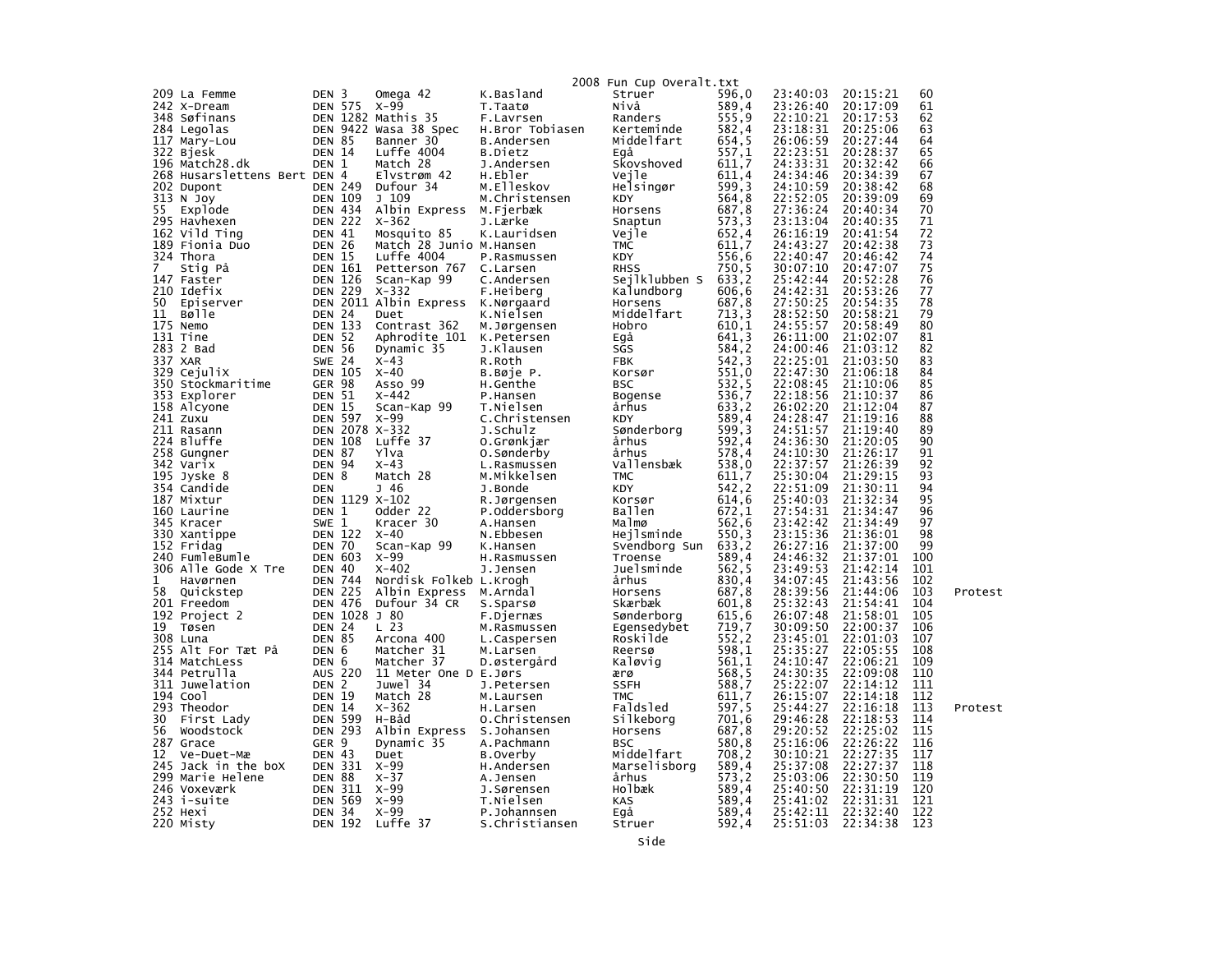|         |                              |                                 |                |                                       |                             | 2008 Fun Cup Overalt.txt                                     |                  |                      |                      |            |         |
|---------|------------------------------|---------------------------------|----------------|---------------------------------------|-----------------------------|--------------------------------------------------------------|------------------|----------------------|----------------------|------------|---------|
|         | 209 La Femme                 | DEN 3                           |                | Omega 42                              | K.Basland                   | Struer                                                       | 596,0            | 23:40:03 20:15:21    |                      | 60         |         |
|         | 242 X-Dream                  |                                 | DEN 575 X-99   |                                       | T.Taatø                     | Nivå                                                         | 589,4            | 23:26:40             | 20:17:09             | 61         |         |
|         | 348 Søfinans                 |                                 |                | DEN 1282 Mathis 35                    | F.Lavrsen                   | Randers                                                      | 555,9            | 22:10:21             | 20:17:53             | 62         |         |
|         | 284 Legolas                  |                                 |                | DEN 9422 Wasa 38 Spec                 | H.Bror Tobiasen             | Kerteminde                                                   | 582,4            | 23:18:31             | 20:25:06             | 63         |         |
|         | 117 Mary-Lou                 | <b>DEN 85</b>                   |                | Banner 30                             | B.Andersen                  | Middelfart                                                   | 654,5            | 26:06:59             | 20:27:44             | 64         |         |
|         | 322 Bjesk                    | <b>DEN 14</b>                   |                | Luffe 4004                            | B.Dietz                     | Egá                                                          | 557,1            | 22:23:51             | 20:28:37             | 65         |         |
|         | 196 Match28.dk               | DEN 1                           |                | Match 28                              | J.Andersen                  | Skovshoved                                                   | 611,7            | 24:33:31             | 20:32:42             | 66         |         |
|         | 268 Husarslettens Bert DEN 4 |                                 |                | Elvstrøm 42                           | H.Ebler                     | Vejle                                                        | 611,4            | 24:34:46             | 20:34:39             | 67         |         |
|         | 202 Dupont                   | <b>DEN 249</b>                  |                | Dufour 34                             | M.Elleskov                  | Helsingør                                                    | 599,3            | 24:10:59             | 20:38:42             | 68         |         |
|         | 313 N Joy                    | <b>DEN 109</b>                  |                | J 109                                 | M.Christensen               | KDY                                                          | 564,8            | 22:52:05             | 20:39:09             | 69         |         |
|         | 55 Explode                   | <b>DEN 434</b>                  |                | Albin Express M.Fjerbæk               |                             | Horsens                                                      | 687,8            | 27:36:24             | 20:40:34             | 70         |         |
|         | 295 Havhexen                 | <b>DEN 222</b>                  |                | X-362                                 | J.Lærke                     | Snaptun                                                      | 573,3            | 23:13:04             | 20:40:35             | 71         |         |
|         | 162 Vild Ting                | DEN 41                          |                | Mosquito 85                           | K.Lauridsen                 | Vejle                                                        | 652,4            | 26:16:19             | 20:41:54             | 72         |         |
|         | 189 Fionia Duo               | <b>DEN 26</b>                   |                | Match 28 Junio M.Hansen               |                             | <b>TMC</b>                                                   | 611,7            | 24:43:27             | 20:42:38             | 73         |         |
| 7       | 324 Thora                    | <b>DEN 15</b><br><b>DEN 161</b> |                | Luffe 4004                            | P.Rasmussen                 | KDY                                                          | 556,6            | 22:40:47<br>30:07:10 | 20:46:42<br>20:47:07 | 74<br>75   |         |
|         | Stig På<br>147 Faster        | DEN 126                         |                | Petterson 767 C.Larsen<br>Scan-Kap 99 | C.Andersen                  | RHSS                          750,5<br>Sejlklubben S   633,2 |                  | 25:42:44             | 20:52:28             | 76         |         |
|         | 210 Idefix                   |                                 | <b>DEN 229</b> | $X - 332$                             | F.Heiberg                   | Kalundborg                                                   | 606,6            | 24:42:31             | 20:53:26             | 77         |         |
|         | 50 Episerver                 |                                 |                | DEN 2011 Albin Express K.Nørgaard     |                             | Horsens                                                      | 687,8            | 27:50:25             | 20:54:35             | 78         |         |
| 11      | Bølle                        | DEN 24                          |                | Duet                                  | K.Nielsen                   | Middelfart                                                   | 713, 3           | 28:52:50             | 20:58:21             | 79         |         |
|         | 175 Nemo                     | <b>DEN 133</b>                  |                | Contrast 362                          | M.Jørgensen                 | Hobro                                                        | 610,1            | 24:55:57             | 20:58:49             | 80         |         |
|         | 131 Tine                     | DEN 52                          |                | Aphrodite 101 K.Petersen              |                             | Egå                                                          | 641,3            | 26:11:00             | 21:02:07             | 81         |         |
|         | 283 2 Bad                    | <b>DEN 56</b>                   |                | Dynamic 35                            | J.Klausen                   | SGS                                                          | 584,2            | 24:00:46             | 21:03:12             | 82         |         |
| 337 XAR |                              | <b>SWE 24</b>                   |                | $X-43$                                | R.Roth                      | <b>FBK</b>                                                   | 542, 3           | 22:25:01             | 21:03:50             | 83         |         |
|         | 329 CejuliX                  | <b>DEN 105</b>                  |                | x-40                                  | B.Bøje P.                   | Korsør                                                       | 551,0            | 22:47:30             | 21:06:18             | 84         |         |
|         | 350 Stockmaritime            | GER 98                          |                | Asso 99                               | H.Genthe                    | <b>BSC</b>                                                   | 532,5            | 22:08:45             | 21:10:06             | 85         |         |
|         | 353 Explorer                 | <b>DEN 51</b>                   |                | X-442                                 | P.Hansen                    | Bogense                                                      | 536,7            | 22:18:56             | 21:10:37             | 86         |         |
|         | 158 Alcyone                  | <b>DEN 15</b>                   |                | Scan-Kap 99                           | T.Nielsen                   | århus                                                        | 633,2            | 26:02:20             | 21:12:04             | 87         |         |
|         | 241 Zuxu                     | <b>DEN 597</b>                  |                | x-99                                  | C.Christensen               | KDY                                                          | 589,4            | 24:28:47             | 21:19:16             | 88         |         |
|         | 211 Rasann                   |                                 |                | DEN 2078 X-332                        | J.Schulz                    | Sønderborg                                                   | 599,3            | 24:51:57             | 21:19:40             | 89         |         |
|         | 224 Bluffe                   | <b>DEN 108</b>                  |                | Luffe 37                              | 0.Grønkjær                  | århus                                                        | 592,4            | 24:36:30             | 21:20:05             | 90         |         |
|         | 258 Gungner                  | <b>DEN 87</b>                   |                | Ylva                                  | 0.Sønderby                  | århus                                                        | 578,4            | 24:10:30             | 21:26:17             | 91         |         |
|         | 342 Varix                    | <b>DEN 94</b>                   |                | $X-43$                                | L.Rasmussen                 | Vallensbæk                                                   | 538,0            | 22:37:57             | 21:26:39             | 92         |         |
|         | 195 Jyske 8                  | DEN <sub>8</sub>                |                | Match 28                              | M.Mikkelsen                 | TMC                                                          | 611,7            | 25:30:04             | 21:29:15<br>21:30:11 | 93<br>94   |         |
|         | 354 Candide<br>187 Mixtur    | DEN                             |                | J 46<br>DEN 1129 X-102                | J.Bonde                     | <b>KDY</b><br>Korsør                                         | 542,2<br>614,6   | 22:51:09<br>25:40:03 | 21:32:34             | 95         |         |
|         | 160 Laurine                  | DEN 1                           |                | Odder 22                              | R.Jørgensen<br>P.Oddersborg | Ballen                                                       | 672,1            | 27:54:31             | 21:34:47             | 96         |         |
|         | 345 Kracer                   | SWE 1                           |                | Kracer 30                             | A.Hansen                    | Malmø                                                        | 562,6            | 23:42:42             | 21:34:49             | 97         |         |
|         | 330 Xantippe                 | <b>DEN 122</b>                  |                | X-40                                  | N.Ebbesen                   | Hejlsminde                                                   | 550,3            | 23:15:36             | 21:36:01             | 98         |         |
|         | 152 Fridag                   | DEN 70                          |                | Scan-Kap 99                           | K.Hansen                    | Svendborg Sun 633,2                                          |                  | 26:27:16             | 21:37:00             | 99         |         |
|         | 240 FumleBumle               | <b>DEN 603</b>                  |                | x-99                                  | H.Rasmussen                 | Troense                                                      | 589,4            | 24:46:32             | 21:37:01             | 100        |         |
|         | 306 Alle Gode X Tre          | DEN 40                          |                | X-402                                 | J.Jensen                    | Juelsminde                                                   | 562,5            | 23:49:53             | 21:42:14             | 101        |         |
| 1       | Havørnen                     | DEN 744                         |                | Nordisk Folkeb L.Krogh                |                             | århus                                                        | 830,4            | 34:07:45             | 21:43:56             | 102        |         |
|         | 58 Quickstep                 | <b>DEN 225</b>                  |                | Albin Express M.Arndal                |                             | Horsens                                                      | 687,8            | 28:39:56             | 21:44:06             | 103        | Protest |
|         | 201 Freedom                  |                                 | DEN 476        | Dufour 34 CR                          | S. Sparsø                   | Skærbæk                                                      | 601,8            | 25:32:43             | 21:54:41             | 104        |         |
|         | 192 Project 2                |                                 | DEN 1028 J 80  |                                       | F.Djernæs                   | Sønderborg                                                   | 615, 6           | 26:07:48             | 21:58:01             | 105        |         |
|         | 19 Tøsen                     | <b>DEN 24</b>                   |                | L 23                                  | M.Rasmussen                 | Egensedybet                                                  | $719,7$<br>552,2 | 30:09:50             | 22:00:37             | 106        |         |
|         | 308 Luna                     | <b>DEN 85</b>                   |                | Arcona 400                            | L.Caspersen                 | Roskilde                                                     |                  | 23:45:01             | 22:01:03             | 107        |         |
|         | 255 Alt For Tæt På           | DEN 6                           |                | Matcher 31                            | M.Larsen                    | Reersø                                                       | 598,1            | 25:35:27             | 22:05:55             | 108        |         |
|         | 314 MatchLess                | DEN 6                           |                | Matcher 37                            | D.østergård                 | Kaløvig                                                      | 561,1            | 24:10:47             | 22:06:21             | 109        |         |
|         | 344 Petrulla                 |                                 | AUS 220        | 11 Meter One D E.Jørs                 |                             | ærø                                                          | 568, 5           | 24:30:35             | 22:09:08             | 110        |         |
|         | 311 Juwelation               | DEN 2                           |                | Juwel 34                              | J.Petersen                  | <b>SSFH</b>                                                  | 588,7            | 25:22:07             | 22:14:12<br>22:14:18 | 111        |         |
|         | 194 Cool<br>293 Theodor      | <b>DEN 19</b><br>DEN 14         |                | Match 28<br>$X - 362$                 | M.Laursen                   | <b>TMC</b><br>Faldsled                                       | 611,7<br>597,5   | 26:15:07<br>25:44:27 | 22:16:18             | 112<br>113 | Protest |
| 30      | First Lady                   | <b>DEN 599</b>                  |                | H-Båd                                 | H.Larsen<br>0.Christensen   | Silkeborg                                                    | 701,6            | 29:46:28             | 22:18:53             | 114        |         |
| 56      | Woodstock                    | <b>DEN 293</b>                  |                | Albin Express S.Johansen              |                             | Horsens                                                      | 687,8            | 29:20:52             | 22:25:02             | 115        |         |
|         | 287 Grace                    | GER 9                           |                | Dynamic 35                            | A.Pachmann                  | <b>BSC</b>                                                   | 580,8            | 25:16:06             | 22:26:22             | 116        |         |
| 12      | Ve-Duet-Mæ                   | DEN 43                          |                | Duet                                  | B.Overby                    | Middelfart                                                   | 708,2            | 30:10:21             | 22:27:35             | 117        |         |
|         | 245 Jack in the boX          | <b>DEN 331</b>                  |                | X-99                                  | H.Andersen                  | Marselisborg                                                 | 589,4            | 25:37:08             | 22:27:37             | 118        |         |
|         | 299 Marie Helene             | <b>DEN 88</b>                   |                | $X - 37$                              | A.Jensen                    | århus                                                        | 573,2            | 25:03:06             | 22:30:50             | 119        |         |
|         | 246 Voxeværk                 | DEN 311                         |                | x-99                                  | J.Sørensen                  | Holbæk                                                       | 589,4            | 25:40:50             | 22:31:19             | 120        |         |
|         | 243 i-suite                  | <b>DEN 569</b>                  |                | X-99                                  | T.Nielsen                   | KAS                                                          | 589,4            | 25:41:02             | 22:31:31             | 121        |         |
|         | 252 нехі                     | DEN 34                          |                | X-99                                  | P.Johannsen                 | Egå                                                          | 589,4            | 25:42:11             | 22:32:40             | 122        |         |
|         | 220 Misty                    |                                 |                | DEN 192 Luffe 37                      | S.Christiansen              | Struer                                                       | 592,4            | 25:51:03 22:34:38    |                      | 123        |         |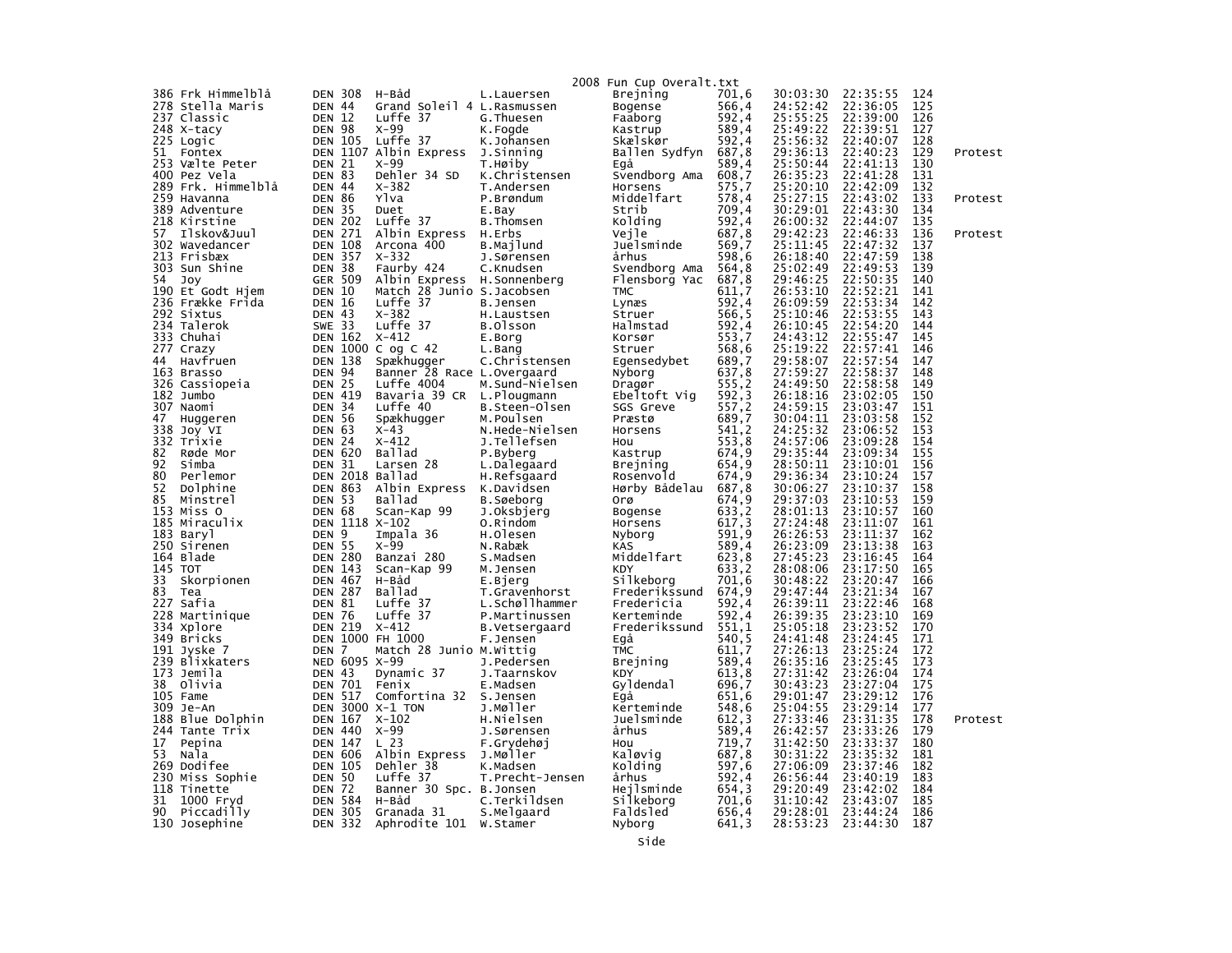|            |                      |                         |                 |                                   |                             | 2008 Fun Cup Overalt.txt |                  |                      |                      |            |         |
|------------|----------------------|-------------------------|-----------------|-----------------------------------|-----------------------------|--------------------------|------------------|----------------------|----------------------|------------|---------|
|            | 386 Frk Himmelblå    | <b>DEN 308</b>          |                 | H-Båd                             | L.Lauersen                  | Brejning                 | 701,6            | 30:03:30             | 22:35:55             | 124        |         |
|            | 278 Stella Maris     | DEN 44                  |                 | Grand Soleil 4 L.Rasmussen        |                             | Bogense                  | 566,4            | 24:52:42             | 22:36:05             | 125        |         |
|            | 237 Classic          | <b>DEN</b>              | 12              | Luffe 37                          | G. Thuesen                  | Faaborg                  | 592,4            | 25:55:25             | 22:39:00             | 126        |         |
|            | 248 X-tacy           | DEN                     | 98              | $X-99$                            | K.Fogde                     | Kastrup                  | 589,4            | 25:49:22             | 22:39:51             | 127        |         |
|            | 225 Logic            | <b>DEN 105</b>          |                 | Luffe 37                          | K.Johansen                  | Skælskør                 | 592,4            | 25:56:32             | 22:40:07             | 128        |         |
| 51         | Fontex               |                         | DEN 1107        | Albin Express                     | J.Sinning                   | Ballen Sydfyn            | 687,8            | 29:36:13             | 22:40:23             | 129        | Protest |
|            | 253 Vælte Peter      | <b>DEN 21</b>           |                 | $X-99$                            | T.Høiby                     | Eqå                      | 589,4            | 25:50:44             | 22:41:13             | 130        |         |
|            | 400 Pez Vela         | DEN 83                  |                 | Dehler 34 SD                      | K.Christensen               | Svendborg Ama            | 608,7            | 26:35:23             | 22:41:28             | 131        |         |
|            | 289 Frk. Himmelblå   | DEN 44                  |                 | $X - 382$                         | T.Andersen                  | Horsens                  | 575,7            | 25:20:10             | 22:42:09             | 132        |         |
|            | 259 Havanna          | <b>DEN</b>              | 86              | Ylva                              | P.Brøndum                   | Middelfart               | 578,4            | 25:27:15             | 22:43:02             | 133        | Protest |
|            | 389 Adventure        | <b>DEN</b>              | 35              | Duet                              | E.Bay                       | Strib                    | 709,4            | 30:29:01             | 22:43:30             | 134        |         |
|            | 218 Kirstine         | <b>DEN 202</b>          |                 | Luffe 37                          | B.Thomsen                   | Kolding                  | 592,4            | 26:00:32             | 22:44:07             | 135        |         |
| 57         | Ilskov&Juul          | DEN                     | 271             | Albin Express                     | H.Erbs                      | Vejle                    | 687,8            | 29:42:23             | 22:46:33             | 136        | Protest |
|            | 302 Wavedancer       | <b>DEN 108</b>          |                 | Arcona 400                        | B.Majlund                   | Juelsminde               | 569,7            | 25:11:45             | 22:47:32             | 137        |         |
|            | 213 Frisbæx          | DEN                     | 357             | $X - 332$                         | J.Sørensen                  | århus                    | 598,6            | 26:18:40             | 22:47:59             | 138        |         |
| 303        | Sun Shine            | <b>DEN</b>              | 38              | Faurby 424                        | C.Knudsen                   | Svendborg Ama            | 564,8            | 25:02:49             | 22:49:53             | 139        |         |
| 54         | Joy                  | GER                     | 509             | Albin Express                     | H.Sonnenberg                | Flensborg Yac            | 687,8            | 29:46:25             | 22:50:35             | 140        |         |
|            | 190 Et Godt Hjem     | <b>DEN 10</b>           |                 | Match 28 Junio S.Jacobsen         |                             | <b>TMC</b>               | 611,7            | 26:53:10             | 22:52:21             | 141        |         |
|            | 236 Frække Frida     | <b>DEN 16</b>           |                 | Luffe 37                          | B.Jensen                    | Lynæs                    | 592,4            | 26:09:59             | 22:53:34             | 142        |         |
|            | 292 Sixtus           | DEN                     | -43             | $X - 382$                         | H.Laustsen                  | Struer                   | 566,5            | 25:10:46             | 22:53:55             | 143        |         |
|            | 234 Talerok          | <b>SWE 33</b>           |                 | Luffe 37                          | B.Olsson                    | Halmstad                 | 592,4            | 26:10:45             | 22:54:20             | 144        |         |
|            | 333 Chuhai           | <b>DEN 162</b>          |                 | $X - 412$                         | E.Borg                      | Korsør                   | 553,7            | 24:43:12             | 22:55:47             | 145        |         |
| 277        | Crazy                |                         | <b>DEN 1000</b> | C $og$ C $42$                     | L.Bang                      | Struer                   | 568,6            | 25:19:22             | 22:57:41             | 146        |         |
| 44         | Havfruen             | <b>DEN 138</b>          |                 | Spækhugger                        | C.Christensen               | Egensedybet              | 689,7            | 29:58:07             | 22:57:54             | 147        |         |
|            | 163 Brasso           | <b>DEN</b>              | 94              | Banner 28 Race L.Overgaard        |                             | Nyborg                   | 637,8            | 27:59:27             | 22:58:37             | 148        |         |
|            | 326 Cassiopeia       | DEN                     | 25              | Luffe 4004                        | M.Sund-Nielsen              | Dragør                   | 555,2            | 24:49:50             | 22:58:58             | 149        |         |
|            | 182 Jumbo            | <b>DEN</b>              | 419             | Bavaria 39 CR                     | L.Plougmann                 | Ebeltoft Vig             | 592,3            | 26:18:16             | 23:02:05             | 150        |         |
| 307<br>47  | Naomi                | DEN                     | 34              | Luffe 40                          | B.Steen-Olsen               | SGS Greve                | $557,2$<br>689,7 | 24:59:15<br>30:04:11 | 23:03:47<br>23:03:58 | 151<br>152 |         |
| 338        | Huggeren             | <b>DEN 56</b><br>DEN 63 |                 | Spækhugger<br>$X-43$              | M.Poulsen<br>N.Hede-Nielsen | Præstø                   | 541.2            | 24:25:32             | 23:06:52             | 153        |         |
|            | Joy VI<br>332 Trixie | <b>DEN</b>              | -24             | $X - 412$                         | J.Tellefsen                 | Horsens<br>Hou           | 553,8            | 24:57:06             | 23:09:28             | 154        |         |
| 82         | Røde Mor             | <b>DEN 620</b>          |                 | Ballad                            | P.Byberg                    | Kastrup                  | 674,9            | 29:35:44             | 23:09:34             | 155        |         |
| 92         | Simba                | DEN 31                  |                 | Larsen 28                         | L.Dalegaard                 | Brejning                 | 654,9            | 28:50:11             | 23:10:01             | 156        |         |
| 80         | Perlemor             |                         |                 | DEN 2018 Ballad                   | H.Refsgaard                 | Rosenvold                | 674,9            | 29:36:34             | 23:10:24             | 157        |         |
| 52         | Dolphine             | <b>DEN 863</b>          |                 | Albin Express                     | K.Davidsen                  | Hørby Bådelau            | 687,8            | 30:06:27             | 23:10:37             | 158        |         |
| 85         | Minstrel             | DEN 53                  |                 | Ballad                            | B.Søeborg                   | orø                      | 674,9            | 29:37:03             | 23:10:53             | 159        |         |
| 153        | Miss O               | <b>DEN 68</b>           |                 | Scan-Kap 99                       | J.Oksbjerg                  | Bogense                  | 633,2            | 28:01:13             | 23:10:57             | 160        |         |
|            | 185 Miraculix        |                         |                 | DEN 1118 X-102                    | O.Rindom                    | Horsens                  | 617, 3           | 27:24:48             | 23:11:07             | 161        |         |
|            | 183 Baryl            | DEN 9                   |                 | Impala 36                         | H.Olesen                    | Nyborg                   | 591,9            | 26:26:53             | 23:11:37             | 162        |         |
|            | 250 Sirenen          | <b>DEN 55</b>           |                 | $X-99$                            | N.Rabæk                     | <b>KAS</b>               | 589,4            | 26:23:09             | 23:13:38             | 163        |         |
|            | 164 Blade            | <b>DEN 280</b>          |                 | Banzai 280                        | S.Madsen                    | Middelfart               | 623,8            | 27:45:23             | 23:16:45             | 164        |         |
| 145        | тот                  | <b>DEN 143</b>          |                 | Scan-Kap 99                       | M.Jensen                    | KDY                      | 633,2            | 28:08:06             | 23:17:50             | 165        |         |
| 33         | Skorpionen           | <b>DEN 467</b>          |                 | H-Båd                             | E.Bjerg                     | Silkeborg                | 701.6            | 30:48:22             | 23:20:47             | 166        |         |
| 83         | Tea                  | <b>DEN 287</b>          |                 | Ballad                            | T.Gravenhorst               | Frederikssund            | 674,9            | 29:47:44             | 23:21:34             | 167        |         |
| 227        | Safia                | <b>DEN 81</b>           |                 | Luffe 37                          | L.Schøllhammer              | Fredericia               | 592,4            | 26:39:11             | 23:22:46             | 168        |         |
|            | 228 Martinique       | <b>DEN 76</b>           |                 | Luffe 37                          | P.Martinussen               | Kerteminde               | 592,4            | 26:39:35             | 23:23:10             | 169        |         |
|            | 334 Xplore           | <b>DEN 219</b>          |                 | $X - 412$                         | B.Vetsergaard               | Frederikssund            | 551,1            | 25:05:18             | 23:23:52             | 170        |         |
|            | 349 Bricks           |                         | <b>DEN 1000</b> | FH 1000                           | F.Jensen                    | Egå                      | 540, 5           | 24:41:48             | 23:24:45             | 171        |         |
|            | 191 Jyske 7          | DEN 7                   |                 | Match 28 Junio M.Wittig           |                             | <b>TMC</b>               | 611,7            | 27:26:13             | 23:25:24             | 172        |         |
|            | 239 Blixkaters       |                         | NED 6095 X-99   |                                   | J.Pedersen                  | Brejning                 | 589,4            | 26:35:16             | 23:25:45             | 173        |         |
| 173        | Jemila               | DEN 43                  |                 | Dynamic 37                        | J.Taarnskov                 | KDY                      | 613,8            | 27:31:42             | 23:26:04             | 174        |         |
| 38         | Olivia               | DEN                     | 701             | Fenix                             | E.Madsen                    | Gyldendal                | 696,7            | 30:43:23             | 23:27:04<br>23:29:12 | 175<br>176 |         |
| 105<br>309 | Fame<br>Je-An        | <b>DEN</b>              | 517             | Comfortina 32<br>DEN 3000 X-1 TON | S.Jensen                    | Egå                      | 651.6<br>548,6   | 29:01:47<br>25:04:55 | 23:29:14             | 177        |         |
|            | 188 Blue Dolphin     | <b>DEN 167</b>          |                 | $X - 102$                         | J.Møller<br>H.Nielsen       | Kerteminde<br>Juelsminde | 612, 3           | 27:33:46             | 23:31:35             | 178        | Protest |
| 244        | Tante Trix           | <b>DEN 440</b>          |                 | $X-99$                            | J.Sørensen                  | århus                    | 589,4            | 26:42:57             | 23:33:26             | 179        |         |
| 17         | Pepina               | <b>DEN 147</b>          |                 | L <sub>23</sub>                   | F.Grydehøj                  | Hou                      | 719,7            | 31:42:50             | 23:33:37             | 180        |         |
| 53         | Nala                 | <b>DEN 606</b>          |                 | Albin Express                     | J.Møller                    | Kaløvig                  | 687,8            | 30:31:22             | 23:35:32             | 181        |         |
| 269        | Dodifee              | <b>DEN 105</b>          |                 | Dehler 38                         | K.Madsen                    | Kolding                  | 597,6            | 27:06:09             | 23:37:46             | 182        |         |
| 230        | Miss Sophie          | <b>DEN</b>              | 50              | Luffe 37                          | T.Precht-Jensen             | århus                    | 592,4            | 26:56:44             | 23:40:19             | 183        |         |
| 118        | Tinette              | <b>DEN</b>              | 72              | Banner 30 Spc. B. Jonsen          |                             | Hejlsminde               | 654,3            | 29:20:49             | 23:42:02             | 184        |         |
| 31         | 1000 Fryd            | DEN                     | 584             | H-Båd                             | C.Terkildsen                | Silkeborg                | 701,6            | 31:10:42             | 23:43:07             | 185        |         |
| 90         | Piccadilly           | <b>DEN 305</b>          |                 | Granada 31                        | S.Melgaard                  | Faldsled                 | 656,4            | 29:28:01             | 23:44:24             | 186        |         |
|            | 130 Josephine        | <b>DEN 332</b>          |                 | Aphrodite 101 W.Stamer            |                             | Nyborg                   | 641.3            | 28:53:23             | 23:44:30             | 187        |         |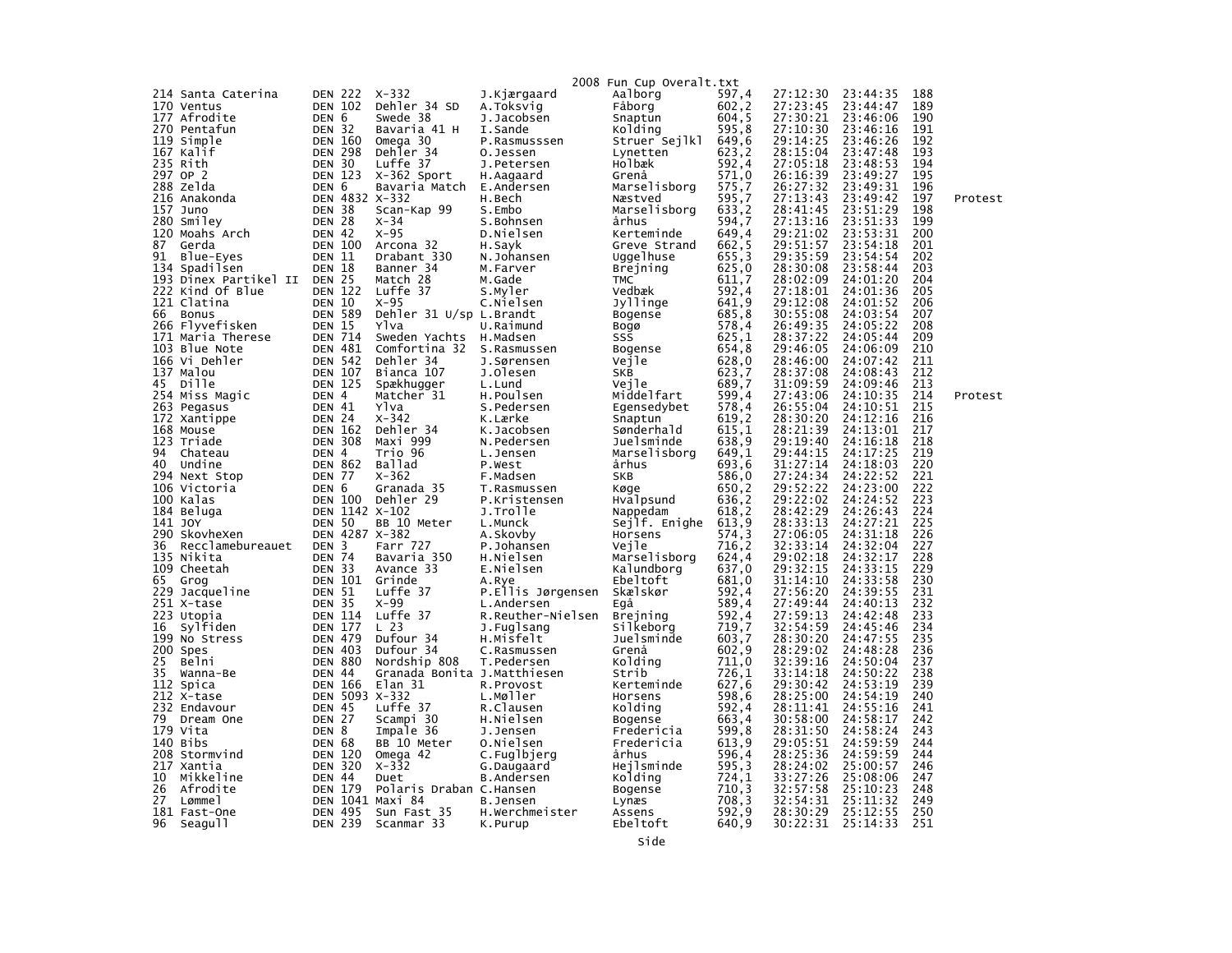|     |                             |                                    |                 |                             |                          | 2008 Fun Cup Overalt.txt |                |                      |                      |            |         |
|-----|-----------------------------|------------------------------------|-----------------|-----------------------------|--------------------------|--------------------------|----------------|----------------------|----------------------|------------|---------|
|     | 214 Santa Caterina          | <b>DEN 222</b>                     |                 | $X - 332$                   | J.Kjærgaard              | Aalborg                  | 597,4          | 27:12:30             | 23:44:35             | 188        |         |
|     | 170 Ventus                  | <b>DEN 102</b>                     |                 | Dehler 34 SD                | A.Toksvig                | Fåborg                   | 602, 2         | 27:23:45             | 23:44:47             | 189        |         |
|     | 177 Afrodite                | DEN 6                              |                 | Swede 38                    | J.Jacobsen               | Snaptun                  | 604,5          | 27:30:21             | 23:46:06             | 190        |         |
|     | 270 Pentafun                | <b>DEN 32</b>                      |                 | Bavaria 41 H                | I.Sande                  | Kolding                  | 595,8          | 27:10:30             | 23:46:16             | 191        |         |
|     | 119 Simple                  |                                    | <b>DEN 160</b>  | Omega 30                    | P.Rasmusssen             | Struer Sejlkl            | 649,6          | 29:14:25             | 23:46:26             | 192        |         |
|     | 167 Kalif                   | <b>DEN 298</b>                     |                 | Dehler 34                   | O.Jessen                 | Lynetten                 | 623,2          | 28:15:04             | 23:47:48             | 193        |         |
|     | 235 Rith                    | <b>DEN 30</b>                      |                 | Luffe 37                    | J.Petersen               | Holbæk                   | 592,4          | 27:05:18             | 23:48:53             | 194        |         |
|     | 297 OP 2                    | <b>DEN 123</b>                     |                 | X-362 Sport                 | H.Aagaard                | Grenå                    | 571,0          | 26:16:39             | 23:49:27             | 195        |         |
|     | 288 zelda                   | DEN 6                              |                 | Bavaria Match               | E.Andersen               | Marselisborg             | 575,7          | 26:27:32             | 23:49:31             | 196        |         |
| 216 | Anakonda                    |                                    |                 | DEN 4832 X-332              | H.Bech                   | Næstved                  | 595,7          | 27:13:43             | 23:49:42             | 197        | Protest |
|     | 157 Juno                    | DEN                                | 38              | Scan-Kap 99                 | S.Embo                   | Marselisborg             | 633,2          | 28:41:45             | 23:51:29             | 198        |         |
|     | 280 Smiley                  | DEN 28                             |                 | $X - 34$                    | S.Bohnsen                | århus                    | 594,7          | 27:13:16             | 23:51:33             | 199        |         |
|     | 120 Moahs Arch              | DEN 42                             |                 | $X-95$                      | D.Nielsen                | Kerteminde               | 649,4          | 29:21:02             | 23:53:31             | 200        |         |
| 87  | Gerda                       | <b>DEN 100</b>                     |                 | Arcona 32                   | H.Sayk                   | Greve Strand             | 662.5          | 29:51:57             | 23:54:18             | 201        |         |
| 91  | Blue-Eyes                   | <b>DEN 11</b>                      |                 | Drabant 330                 | N.Johansen               | Uggelhuse                | 655,3          | 29:35:59             | 23:54:54             | 202        |         |
| 134 | Spadilsen                   | <b>DEN 18</b>                      |                 | Banner <sub>34</sub>        | M.Farver                 | <b>Brejning</b>          | 625,0          | 28:30:08             | 23:58:44             | 203        |         |
|     | 193 Dinex Partikel II       | DEN                                | 25              | Match 28                    | M.Gade                   | TMC                      | 611,7          | 28:02:09             | 24:01:20             | 204        |         |
|     | 222 Kind Of Blue            | <b>DEN 122</b>                     |                 | Luffe 37                    | S.Myler                  | Vedbæk                   | 592,4          | 27:18:01             | 24:01:36             | 205        |         |
|     | 121 Clatina                 | <b>DEN 10</b>                      |                 | $X-95$                      | C.Nielsen                | Jyllinge                 | 641,9          | 29:12:08             | 24:01:52             | 206        |         |
| 66  | <b>Bonus</b>                | <b>DEN 589</b>                     |                 | Dehler 31 U/sp L.Brandt     |                          | Bogense                  | 685,8          | 30:55:08             | 24:03:54             | 207        |         |
|     | 266 Flyvefisken             | <b>DEN 15</b>                      |                 | Ylva                        | U.Raimund                | Bogø                     | 578,4          | 26:49:35             | 24:05:22             | 208        |         |
|     | 171 Maria Therese           | <b>DEN 714</b>                     |                 | Sweden Yachts               | H.Madsen                 | SSS                      | 625,1          | 28:37:22             | 24:05:44             | 209        |         |
|     | 103 Blue Note               | <b>DEN 481</b>                     |                 | Comfortina 32               | S.Rasmussen              | Bogense                  | 654,8          | 29:46:05             | 24:06:09             | 210        |         |
|     | 166 Vi Dehler               | <b>DEN 542</b>                     |                 | Dehler 34                   | J.Sørensen               | Vejle                    | 628,0          | 28:46:00             | 24:07:42             | 211        |         |
|     | 137 Malou                   | <b>DEN 107</b>                     |                 | Bianca 107                  | J.Olesen                 | SKB                      | 623,7          | 28:37:08             | 24:08:43             | 212        |         |
| 45  | Dille                       | <b>DEN 125</b>                     |                 | Spækhugger                  | L.Lund                   | Veile                    | 689,7          | 31:09:59             | 24:09:46             | 213        |         |
|     | 254 Miss Magic              | DEN                                | $\overline{4}$  | Matcher 31                  | H.Poulsen                | Middelfart               | 599,4          | 27:43:06             | 24:10:35             | 214        | Protest |
|     | 263 Pegasus                 | DEN 41                             |                 | Ylva                        | S.Pedersen               | Egensedybet              | 578,4          | 26:55:04             | 24:10:51             | 215        |         |
|     | 172 Xantippe                | DEN 24                             |                 | $X - 342$                   | K.Lærke                  | Snaptun                  | 619, 2         | 28:30:20             | 24:12:16             | 216        |         |
|     | 168 Mouse                   | <b>DEN 162</b>                     |                 | Dehler 34                   | K.Jacobsen               | Sønderhald               | 615,1          | 28:21:39             | 24:13:01             | 217        |         |
| 94  | 123 Triade                  | <b>DEN 308</b><br>DEN <sub>4</sub> |                 | Maxi 999                    | N.Pedersen               | Juelsminde               | 638,9          | 29:19:40             | 24:16:18             | 218<br>219 |         |
| 40  | Chateau<br>Undine           | <b>DEN 862</b>                     |                 | Trio 96<br>Ballad           | L.Jensen<br>P.West       | Marselisborg<br>århus    | 649,1<br>693,6 | 29:44:15<br>31:27:14 | 24:17:25<br>24:18:03 | 220        |         |
|     | 294 Next Stop               | DEN 77                             |                 | $X - 362$                   | F.Madsen                 | SKB                      | 586,0          | 27:24:34             | 24:22:52             | 221        |         |
|     | 106 Victoria                | DEN 6                              |                 | Granada 35                  | T.Rasmussen              | Køge                     | 650.2          | 29:52:22             | 24:23:00             | 222        |         |
|     | 100 Kalas                   |                                    | DEN 100         | Dehler 29                   | P.Kristensen             | Hvalpsund                | 636,2          | 29:22:02             | 24:24:52             | 223        |         |
|     | 184 Beluga                  |                                    |                 | DEN 1142 X-102              | J.Trolle                 | Nappedam                 | 618,2          | 28:42:29             | 24:26:43             | 224        |         |
|     | 141 JOY                     | <b>DEN 50</b>                      |                 | BB 10 Meter                 | L.Munck                  | Sejlf. Enighe            | 613,9          | 28:33:13             | 24:27:21             | 225        |         |
|     | 290 SkovheXen               |                                    | DEN 4287        | X-382                       | A.Skovby                 | Horsens                  | 574.3          | 27:06:05             | 24:31:18             | 226        |         |
| 36  | Recclamebureauet            | <b>DEN</b>                         | 3               | Farr 727                    | P.Johansen               | Vejle                    | 716,2          | 32:33:14             | 24:32:04             | 227        |         |
|     | 135 Nikita                  | <b>DEN 74</b>                      |                 | Bavaria 350                 | H.Nielsen                | Marselisborg             | 624,4          | 29:02:18             | 24:32:17             | 228        |         |
|     | 109 Cheetah                 | DEN 33                             |                 | Avance 33                   | E.Nielsen                | Kalundborg               | 637,0          | 29:32:15             | 24:33:15             | 229        |         |
| 65  | Grog                        | <b>DEN 101</b>                     |                 | Grinde                      | A.Rye                    | Ebeltoft                 | 681,0          | 31:14:10             | 24:33:58             | 230        |         |
| 229 | Jacqueline                  | <b>DEN 51</b>                      |                 | Luffe 37                    | P.Ellis Jørgensen        | Skælskør                 | 592,4          | 27:56:20             | 24:39:55             | 231        |         |
|     | 251 X-tase                  | <b>DEN 35</b>                      |                 | x-99                        | L.Andersen               | Egå                      | 589,4          | 27:49:44             | 24:40:13             | 232        |         |
|     | 223 Utopia                  | <b>DEN 114</b>                     |                 | Luffe 37                    | R.Reuther-Nielsen        | <b>Brejning</b>          | 592,4          | 27:59:13             | 24:42:48             | 233        |         |
| 16  | Sylfiden                    | <b>DEN 177</b>                     |                 | L <sub>23</sub>             | J.Fuglsang               | Silkeborg                | 719,7          | 32:54:59             | 24:45:46             | 234        |         |
|     | 199 No Stress               | <b>DEN 479</b>                     |                 | Dufour 34                   | H.Misfelt                | Juelsminde               | 603,7          | 28:30:20             | 24:47:55             | 235        |         |
|     | 200 Spes                    | <b>DEN 403</b>                     |                 | Dufour 34                   | C.Rasmussen              | Grenå                    | 602,9          | 28:29:02             | 24:48:28             | 236        |         |
| 25  | Belni                       | <b>DEN 880</b>                     |                 | Nordship 808                | T.Pedersen               | Kolding                  | 711,0          | 32:39:16             | 24:50:04             | 237        |         |
| 35  | Wanna-Be                    | <b>DEN 44</b>                      |                 | Granada Bonita J.Matthiesen |                          | Strib                    | 726.1          | 33:14:18             | 24:50:22             | 238        |         |
|     | 112 Spica                   | <b>DEN 166</b>                     |                 | Elan 31                     | R.Provost                | Kerteminde               | 627,6          | 29:30:42             | 24:53:19             | 239        |         |
| 212 | X-tase                      |                                    | <b>DEN 5093</b> | $X - 332$                   | L.Møller                 | Horsens                  | 598,6          | 28:25:00             | 24:54:19             | 240        |         |
|     | 232 Endavour                | <b>DEN 45</b>                      |                 | Luffe 37                    | R.Clausen                | Kolding                  | 592,4          | 28:11:41             | 24:55:16             | 241        |         |
| 79  | Dream One                   | DEN 27                             |                 | Scampi 30                   | H.Nielsen                | <b>Bogense</b>           | 663,4          | 30:58:00             | 24:58:17             | 242        |         |
|     | 179 Vita                    | DEN 8                              |                 | Impale 36                   | J.Jensen                 | Fredericia               | 599,8          | 28:31:50             | 24:58:24<br>24:59:59 | 243        |         |
| 140 | Bibs                        | <b>DEN 68</b>                      | 120             | BB 10 Meter                 | 0.Nielsen                | Fredericia               | 613,9          | 29:05:51             | 24:59:59             | 244<br>244 |         |
|     | 208 Stormvind<br>217 Xantia | DEN<br><b>DEN 320</b>              |                 | Omega 42<br>$X - 332$       | C.Fuglbjerg              | århus<br>Hejlsminde      | 596,4<br>595,3 | 28:25:36<br>28:24:02 | 25:00:57             | 246        |         |
| 10  | Mikkeline                   | <b>DEN 44</b>                      |                 | Duet                        | G.Daugaard<br>B.Andersen | Kolding                  | 724,1          | 33:27:26             | 25:08:06             | 247        |         |
| 26  | Afrodite                    | <b>DEN 179</b>                     |                 | Polaris Draban C.Hansen     |                          | Bogense                  | 710,3          | 32:57:58             | 25:10:23             | 248        |         |
| 27  | Lømme1                      |                                    | <b>DEN 1041</b> | Maxi 84                     | B.Jensen                 | Lynæs                    | 708,3          | 32:54:31             | 25:11:32             | 249        |         |
|     | 181 Fast-One                | <b>DEN 495</b>                     |                 | Sun Fast 35                 | H.Werchmeister           | Assens                   | 592.9          | 28:30:29             | 25:12:55             | 250        |         |
| 96  | Seagu11                     | <b>DEN 239</b>                     |                 | Scanmar 33                  | K.Purup                  | Ebeltoft                 | 640.9          | 30:22:31             | 25:14:33             | 251        |         |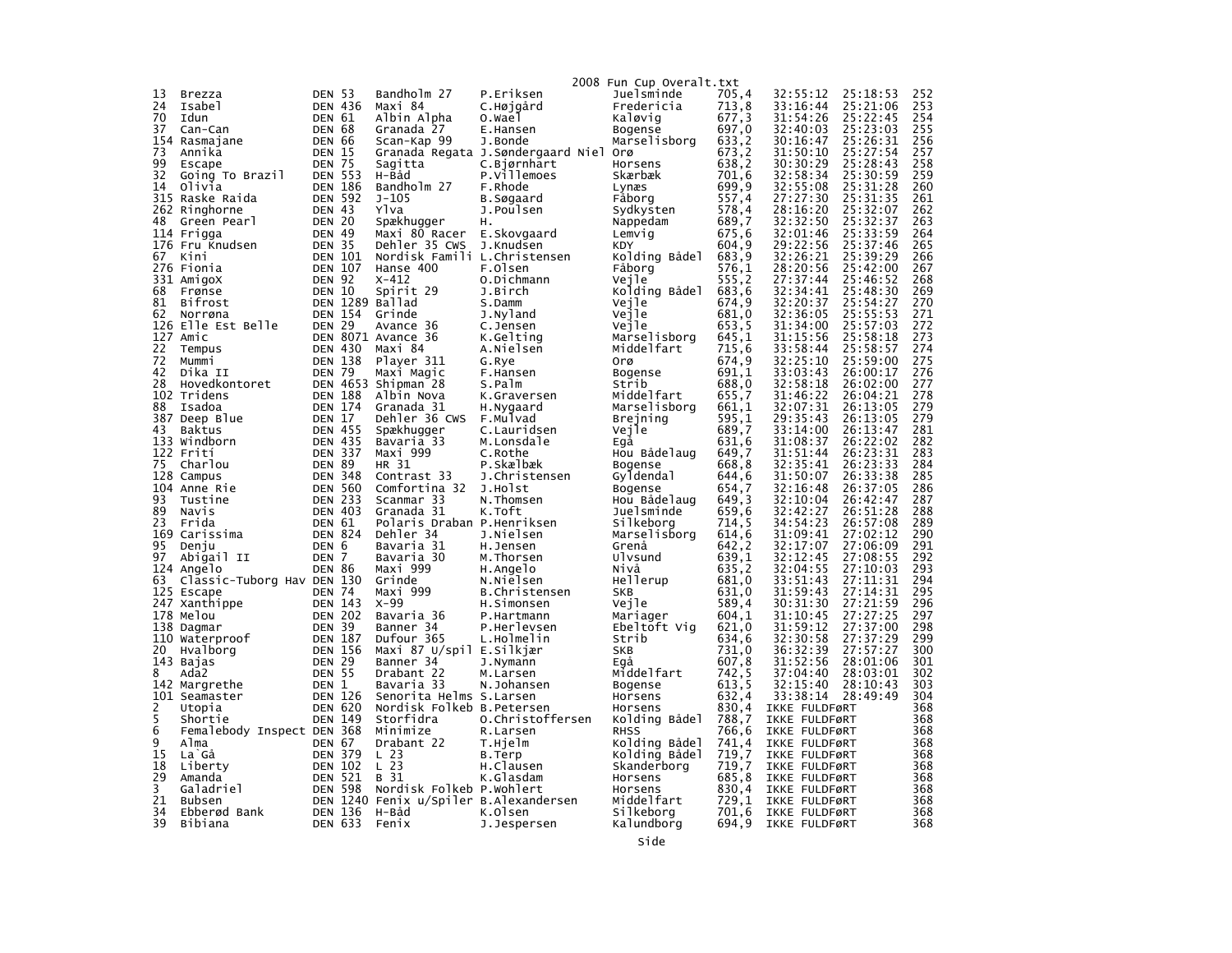|        |                                       |                             |                |                                        |                              | 2008 Fun Cup Overalt.txt     |                |                                |                      |            |
|--------|---------------------------------------|-----------------------------|----------------|----------------------------------------|------------------------------|------------------------------|----------------|--------------------------------|----------------------|------------|
| 13     | Brezza                                | DEN 53                      |                | Bandholm 27                            | P.Eriksen                    | Juelsminde                   | 705,4          | 32:55:12                       | 25:18:53             | 252        |
| 24     | Isabel                                | <b>DEN 436</b>              |                | Maxi 84                                | C.Højgård                    | Fredericia                   | 713,8          | 33:16:44                       | 25:21:06             | 253        |
| 70     | Idun                                  | <b>DEN 61</b>               |                | Albin Alpha                            | o.wael                       | Kaløvig                      | 677,3          | 31:54:26                       | 25:22:45             | 254        |
| 37     | Can-Can                               | <b>DEN 68</b>               |                | Granada 27                             | E.Hansen                     | Bogense                      | 697,0          | 32:40:03                       | 25:23:03             | 255        |
| 154    | Rasmajane                             | <b>DEN 66</b>               |                | Scan-Kap 99                            | J.Bonde                      | Marselisborg                 | 633,2          | 30:16:47                       | 25:26:31             | 256        |
| 73     | Annika                                | <b>DEN 15</b>               |                | Granada Regata J.Søndergaard Niel      |                              | Orø                          | 673,2          | 31:50:10                       | 25:27:54             | 257        |
| 99     | Escape                                | <b>DEN 75</b>               |                | Sagitta                                | C.Bjørnhart                  | Horsens                      | 638,2          | 30:30:29                       | 25:28:43             | 258        |
| 32     | Going To Brazil                       | <b>DEN 553</b>              |                | H-Båd                                  | P.Villemoes                  | Skærbæk                      | 701.6          | 32:58:34                       | 25:30:59             | 259        |
| 14     | Olivia                                | <b>DEN 186</b>              |                | Bandholm 27                            | F.Rhode                      | Lynæs                        | 699.9          | 32:55:08                       | 25:31:28             | 260        |
| 315    | Raske Raida                           | <b>DEN 592</b>              |                | $J - 105$                              | B.Søgaard                    | Fåborg                       | 557,4          | 27:27:30                       | 25:31:35             | 261        |
| 48     | 262 Ringhorne                         | DEN 43<br>DEN 20            |                | Ylva                                   | J.Poulsen                    | Sydkysten                    | 578,4          | 28:16:20<br>32:32:50           | 25:32:07<br>25:32:37 | 262<br>263 |
|        | Green Pearl<br>114 Frigga             | <b>DEN 49</b>               |                | Spækhugger<br>Maxi 80 Racer            | н.<br>E.Skovgaard            | Nappedam<br>Lemvig           | 689,7<br>675,6 | 32:01:46                       | 25:33:59             | 264        |
|        | 176 Fru Knudsen                       | <b>DEN 35</b>               |                | Dehler 35 CWS                          | J.Knudsen                    | <b>KDY</b>                   | 604,9          | 29:22:56                       | 25:37:46             | 265        |
| 67     | Kini                                  | <b>DEN 101</b>              |                | Nordisk Famili L.Christensen           |                              | Kolding Bådel                | 683.9          | 32:26:21                       | 25:39:29             | 266        |
|        | 276 Fionia                            | <b>DEN 107</b>              |                | Hanse 400                              | F.Olsen                      | Fåborg                       | 576,1          | 28:20:56                       | 25:42:00             | 267        |
|        | 331 AmigoX                            | <b>DEN 92</b>               |                | $X - 412$                              | O.Dichmann                   | Vejle                        | 555, 2         | 27:37:44                       | 25:46:52             | 268        |
| 68     | Frønse                                | <b>DEN 10</b>               |                | Spirit 29                              | J.Birch                      | Kolding Bådel                | 683,6          | 32:34:41                       | 25:48:30             | 269        |
| 81     | Bifrost                               |                             |                | DEN 1289 Ballad                        | S.Damm                       | Vejle                        | 674,9          | 32:20:37                       | 25:54:27             | 270        |
| 62     | Norrøna                               |                             | <b>DEN 154</b> | Grinde                                 | J.Nyland                     | Vejle                        | 681,0          | 32:36:05                       | 25:55:53             | 271        |
|        | 126 Elle Est Belle                    | <b>DEN 29</b>               |                | Avance 36                              | C.Jensen                     | Vejle                        | 653,5          | 31:34:00                       | 25:57:03             | 272        |
|        | 127 Amic                              |                             |                | DEN 8071 Avance 36                     | K.Gelting                    | Marselisborg                 | 645.1          | 31:15:56                       | 25:58:18             | 273        |
| 22     | Tempus                                | <b>DEN 430</b>              |                | Maxi 84                                | A.Nielsen                    | Middelfart                   | 715.6          | 33:58:44                       | 25:58:57             | 274        |
| 72     | Mummi                                 | <b>DEN 138</b>              |                | Player 311                             | G.Rye                        | orø                          | 674,9          | 32:25:10                       | 25:59:00             | 275        |
| 42     | Dika II                               | <b>DEN 79</b>               |                | Maxi Magic                             | F.Hansen                     | Bogense                      | 691,1          | 33:03:43                       | 26:00:17             | 276        |
| 28     | Hovedkontoret                         |                             |                | DEN 4653 Shipman 28                    | S.Palm                       | Strib                        | 688,0          | 32:58:18                       | 26:02:00             | 277        |
| 102    | Tridens                               | <b>DEN 174</b>              | <b>DEN 188</b> | Albin Nova                             | K.Graversen                  | Middelfart                   | 655,7          | 31:46:22<br>32:07:31           | 26:04:21<br>26:13:05 | 278        |
| 88     | Isadoa<br>387 Deep Blue               | DEN 17                      |                | Granada 31<br>Dehler 36 CWS            | H.Nygaard<br>F.Mulvad        | Marselisborg<br>Brejning     | 661,1<br>595,1 | 29:35:43                       | 26:13:05             | 279<br>279 |
| 43     | Baktus                                | <b>DEN 455</b>              |                | Spækhugger                             | C.Lauridsen                  | Vejle                        | 689,7          | 33:14:00                       | 26:13:47             | 281        |
| 133    | Windborn                              | <b>DEN 435</b>              |                | Bavaria 33                             | M.Lonsdale                   | Egå                          | 631,6          | 31:08:37                       | 26:22:02             | 282        |
|        | 122 Frití                             | <b>DEN 337</b>              |                | Maxi 999                               | C.Rothe                      | Hou Bådelaug                 | 649,7          | 31:51:44                       | 26:23:31             | 283        |
| 75     | Charlou                               | <b>DEN 89</b>               |                | HR 31                                  | P.Skælbæk                    | Bogense                      | 668,8          | 32:35:41                       | 26:23:33             | 284        |
|        | 128 Campus                            | <b>DEN 348</b>              |                | Contrast 33                            | J.Christensen                | Gyldendal                    | 644,6          | 31:50:07                       | 26:33:38             | 285        |
| 104    | Anne Rie                              | <b>DEN 560</b>              |                | Comfortina 32                          | J.Holst                      | Bogense                      | 654,7          | 32:16:48                       | 26:37:05             | 286        |
| 93     | Tustine                               | <b>DEN 233</b>              |                | Scanmar 33                             | N.Thomsen                    | Hou Bådelaug                 | 649,3          | 32:10:04                       | 26:42:47             | 287        |
| 89     | Navis                                 | <b>DEN 403</b>              |                | Granada 31                             | K.Toft                       | Juelsminde                   | 659.6          | 32:42:27                       | 26:51:28             | 288        |
| 23     | Frida                                 | DEN 61                      |                | Polaris Draban P.Henriksen             |                              | Silkeborg                    | 714,5          | 34:54:23                       | 26:57:08             | 289        |
| 169    | Carissima                             | <b>DEN 824</b>              |                | Dehler 34                              | J.Nielsen                    | Marselisborg                 | 614,6          | 31:09:41                       | 27:02:12             | 290        |
| 95     | Denju                                 | DEN 6                       |                | Bavaria 31                             | H.Jensen                     | Grenå                        | 642,2          | 32:17:07                       | 27:06:09             | 291        |
| 97     | Abiqail II<br>124 Angelo              | <b>DEN</b><br><b>DEN 86</b> | 7              | Bavaria 30<br>Maxi 999                 | M.Thorsen                    | Ulvsund<br>Nivă              | 639,1<br>635,2 | 32:12:45<br>32:04:55           | 27:08:55<br>27:10:03 | 292<br>293 |
| 63     | Classic-Tuborg Hav DEN 130            |                             |                | Grinde                                 | H.Angelo<br>N.Nielsen        | Hellerup                     | 681,0          | 33:51:43                       | 27:11:31             | 294        |
|        | 125 Escape                            | <b>DEN 74</b>               |                | Maxi 999                               | B.Christensen                | <b>SKB</b>                   | 631.0          | 31:59:43                       | 27:14:31             | 295        |
|        | 247 Xanthippe                         | <b>DEN 143</b>              |                | $X-99$                                 | H.Simonsen                   | Vejle                        | 589,4          | 30:31:30                       | 27:21:59             | 296        |
|        | 178 Melou                             | <b>DEN 202</b>              |                | Bavaria 36                             | P.Hartmann                   | Mariager                     | 604,1          | 31:10:45                       | 27:27:25             | 297        |
|        | 138 Dagmar                            | <b>DEN 39</b>               |                | Banner 34                              | P.Herlevsen                  | Ebeltoft Vig                 | 621,0          | 31:59:12                       | 27:37:00             | 298        |
| 110    | Waterproof                            | <b>DEN 187</b>              |                | Dufour 365                             | L.Holmelin                   | Strib                        | 634,6          | 32:30:58                       | 27:37:29             | 299        |
| 20     | Hvalborg                              | <b>DEN 156</b>              |                | Maxi 87 U/spil E.Silkjær               |                              | <b>SKB</b>                   | 731,0          | 36:32:39                       | 27:57:27             | 300        |
|        | 143 Bajas                             | <b>DEN 29</b>               |                | Banner 34                              | J.Nymann                     | Egå                          | 607,8          | 31:52:56                       | 28:01:06             | 301        |
| 8      | Ada2                                  | <b>DEN 55</b>               |                | Drabant 22                             | M.Larsen                     | Middelfart                   | 742,5          | 37:04:40                       | 28:03:01             | 302        |
|        | 142 Margrethe                         | <b>DEN</b>                  | 1              | Bavaria 33                             | N.Johansen                   | Bogense                      | 613,5          | 32:15:40                       | 28:10:43             | 303        |
|        | 101 Seamaster                         | <b>DEN 126</b>              |                | Senorita Helms S.Larsen                |                              | Horsens                      | 632,4          | 33:38:14                       | 28:49:49             | 304        |
| 2<br>5 | Utopia                                | <b>DEN 620</b>              | <b>DEN 149</b> | Nordisk Folkeb B.Petersen<br>Storfidra |                              | Horsens                      | 830,4          | IKKE FULDFØRT<br>IKKE FULDFØRT |                      | 368<br>368 |
| 6      | Shortie<br>Femalebody Inspect DEN 368 |                             |                | Minimize                               | 0.Christoffersen<br>R.Larsen | Kolding Bådel<br><b>RHSS</b> | 788,7<br>766,6 | IKKE FULDFØRT                  |                      | 368        |
| 9      | Alma                                  | <b>DEN 67</b>               |                | Drabant 22                             | T.Hjelm                      | Kolding Bådel                | 741.4          | IKKE FULDFØRT                  |                      | 368        |
| 15     | La Gå                                 | <b>DEN 379</b>              |                | L <sub>23</sub>                        | B.Terp                       | Kolding Bådel                | 719,7          | IKKE FULDFØRT                  |                      | 368        |
| 18     | Liberty                               | <b>DEN</b>                  | 102            | L <sub>23</sub>                        | H.Clausen                    | Skanderborg                  | 719,7          | IKKE FULDFØRT                  |                      | 368        |
| 29     | Amanda                                | DEN                         | 521            | B 31                                   | K.Glasdam                    | Horsens                      | 685,8          | IKKE FULDFØRT                  |                      | 368        |
| 3      | Galadriel                             | <b>DEN 598</b>              |                | Nordisk Folkeb P.Wohlert               |                              | Horsens                      | 830,4          | IKKE FULDFØRT                  |                      | 368        |
| 21     | Bubsen                                |                             |                | DEN 1240 Fenix u/Spiler B.Alexandersen |                              | Middelfart                   | 729,1          | IKKE FULDFØRT                  |                      | 368        |
| 34     | Ebberød Bank                          | <b>DEN 136</b>              |                | H-Båd                                  | K.Olsen                      | Silkeborg                    | 701,6          | IKKE FULDFØRT                  |                      | 368        |
| 39     | Bibiana                               | <b>DEN 633</b>              |                | Fenix                                  | J.Jespersen                  | Kalundborg                   | 694.9          | IKKE FULDFØRT                  |                      | 368        |